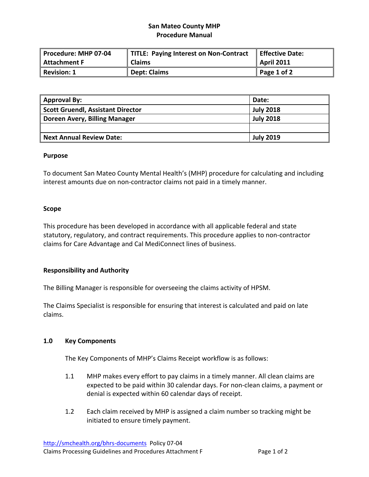# **San Mateo County MHP Procedure Manual**

| Procedure: MHP 07-04 | TITLE: Paying Interest on Non-Contract | Effective Date: |
|----------------------|----------------------------------------|-----------------|
| Attachment F         | <b>Claims</b>                          | April 2011      |
| Revision: 1          | <b>Dept: Claims</b>                    | Page 1 of 2     |

| <b>Approval By:</b>                      | Date:            |
|------------------------------------------|------------------|
| <b>Scott Gruendl, Assistant Director</b> | <b>July 2018</b> |
| Doreen Avery, Billing Manager            | <b>July 2018</b> |
|                                          |                  |
| <b>Next Annual Review Date:</b>          | <b>July 2019</b> |

#### **Purpose**

To document San Mateo County Mental Health's (MHP) procedure for calculating and including interest amounts due on non‐contractor claims not paid in a timely manner.

#### **Scope**

This procedure has been developed in accordance with all applicable federal and state statutory, regulatory, and contract requirements. This procedure applies to non‐contractor claims for Care Advantage and Cal MediConnect lines of business.

## **Responsibility and Authority**

The Billing Manager is responsible for overseeing the claims activity of HPSM.

The Claims Specialist is responsible for ensuring that interest is calculated and paid on late claims.

## **1.0 Key Components**

The Key Components of MHP's Claims Receipt workflow is as follows:

- 1.1 MHP makes every effort to pay claims in a timely manner. All clean claims are expected to be paid within 30 calendar days. For non‐clean claims, a payment or denial is expected within 60 calendar days of receipt.
- 1.2 Each claim received by MHP is assigned a claim number so tracking might be initiated to ensure timely payment.